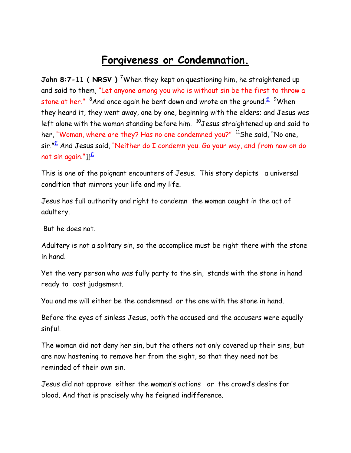## **Forgiveness or Condemnation.**

**John 8:7-11 ( NRSV )** <sup>7</sup>When they kept on questioning him, he straightened up and said to them, "Let anyone among you who is without sin be the first to throw a stone at her." <sup>8</sup>And once again he bent down and wrote on the ground.  $\frac{2}{5}$  <sup>9</sup>When they heard it, they went away, one by one, beginning with the elders; and Jesus was left alone with the woman standing before him. <sup>10</sup>Jesus straightened up and said to her, "Woman, where are they? Has no one condemned you?" <sup>11</sup>She said, "No one,  $\sin \frac{16}{5}$  And Jesus said, "Neither do I condemn you. Go your way, and from now on do not sin again."] $E$ 

This is one of the poignant encounters of Jesus. This story depicts a universal condition that mirrors your life and my life.

Jesus has full authority and right to condemn the woman caught in the act of adultery.

But he does not.

Adultery is not a solitary sin, so the accomplice must be right there with the stone in hand.

Yet the very person who was fully party to the sin, stands with the stone in hand ready to cast judgement.

You and me will either be the condemned or the one with the stone in hand.

Before the eyes of sinless Jesus, both the accused and the accusers were equally sinful.

The woman did not deny her sin, but the others not only covered up their sins, but are now hastening to remove her from the sight, so that they need not be reminded of their own sin.

Jesus did not approve either the woman's actions or the crowd's desire for blood. And that is precisely why he feigned indifference.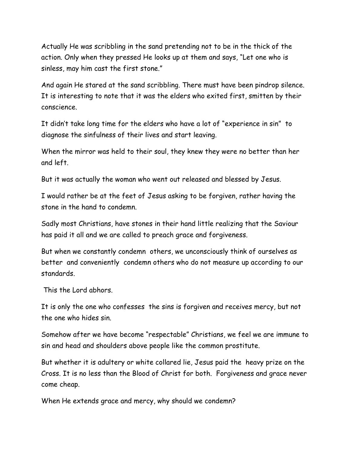Actually He was scribbling in the sand pretending not to be in the thick of the action. Only when they pressed He looks up at them and says, "Let one who is sinless, may him cast the first stone."

And again He stared at the sand scribbling. There must have been pindrop silence. It is interesting to note that it was the elders who exited first, smitten by their conscience.

It didn't take long time for the elders who have a lot of "experience in sin" to diagnose the sinfulness of their lives and start leaving.

When the mirror was held to their soul, they knew they were no better than her and left.

But it was actually the woman who went out released and blessed by Jesus.

I would rather be at the feet of Jesus asking to be forgiven, rather having the stone in the hand to condemn.

Sadly most Christians, have stones in their hand little realizing that the Saviour has paid it all and we are called to preach grace and forgiveness.

But when we constantly condemn others, we unconsciously think of ourselves as better and conveniently condemn others who do not measure up according to our standards.

This the Lord abhors.

It is only the one who confesses the sins is forgiven and receives mercy, but not the one who hides sin.

Somehow after we have become "respectable" Christians, we feel we are immune to sin and head and shoulders above people like the common prostitute.

But whether it is adultery or white collared lie, Jesus paid the heavy prize on the Cross. It is no less than the Blood of Christ for both. Forgiveness and grace never come cheap.

When He extends grace and mercy, why should we condemn?